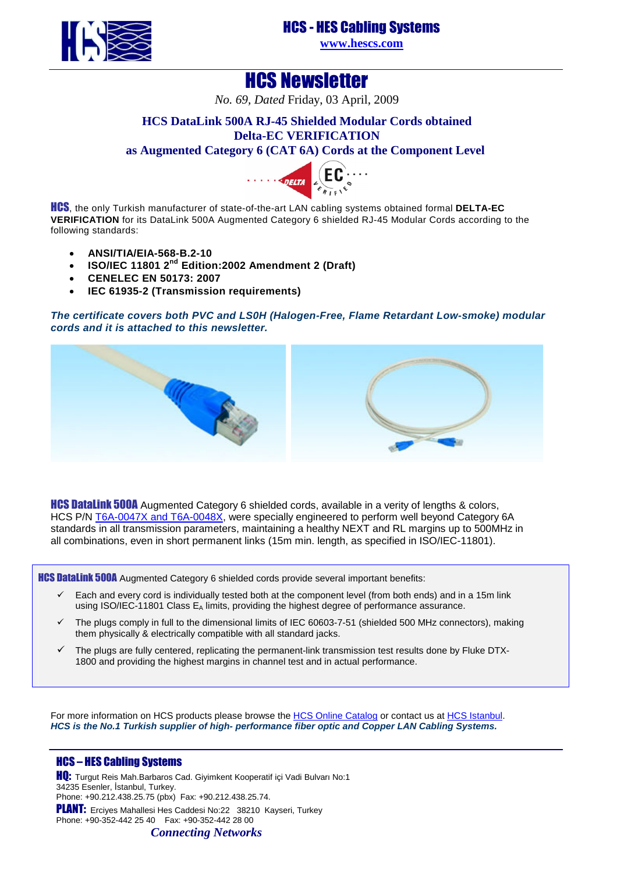HCS - [HES Cabling Sys](http://www.hescs.com/)tems **www.hescs.com**

HCS Newsletter

*No. 69, Dated* Friday, 03 April, 2009

## **HCS DataLink 500A RJ-45 Shielded Modular Cords obtained Delta-EC VERIFICATION**

### **as Augmented Catego[ry 6 \(CAT 6A](http://www.delta.dk/C1256ED60044AA49/0/6ED62640D2E3172FC1256F1D00352CDA)) Cords at the Component Level**



HCS, the only Turkish manufacturer of state-of-the-art LAN cabling systems obtained formal **DELTA-EC VERIFICATION** for its DataLink 500A Augmented Category 6 shielded RJ-45 Modular Cords according to the following standards:

- **ANSI/TIA/EIA-568-B.2-10**
- **ISO/IEC 11801 2nd Edition:2002 Amendment 2 (Draft)**
- **CENELEC EN 50173: 2007**
- **IEC 61935-2 (Transmission requirements)**

### **The certificate covers both PVC and LS0H (Halogen-Free, Flame Retardant Low-smoke) modular cords and it is attached to this newsletter.**



**HCS DataLink 500A** Augmented Category 6 shielded cords, available in a verity of lengths & colors, HCS P/N [T6A-0047X and T6A-0048X, were specially engineered to perform well beyond Category 6A](http://www.hescs.com/katalogen/?dosya=98_7.htm)  standards in all transmission parameters, maintaining a healthy NEXT and RL margins up to 500MHz in all combinations, even in short permanent links (15m min. length, as specified in ISO/IEC-11801).

**HCS DataLink 500A** Augmented Category 6 shielded cords provide several important benefits:

- Each and every cord is individually tested both at the component level (from both ends) and in a 15m link using ISO/IEC-11801 Class E<sub>A</sub> limits, providing the highest degree of performance assurance.
- The plugs comply in full to the dimensional limits of IEC 60603-7-51 (shielded 500 MHz connectors), making them physically & electrically compatible with all standard jacks.
- The plugs are fully centered, replicating the permanent-link transmission test results done by Fluke DTX-1800 and providing the highest margins in channel test and in actual performance.

For more information on HCS products please browse the [HCS Online Catalog or contact us at](http://hescs.com/katalogen/) [HCS Istanbul.](http://hescs.com/eng/?s=contact.php) **HCS is the No.1 Turkish supplier of high- performance fiber optic and Copper LAN Cabling Systems.** 

### HCS – HES Cabling Systems

HQ: Turgut Reis Mah.Barbaros Cad. Giyimkent Kooperatif içi Vadi Bulvarı No:1 34235 Esenler, İstanbul, Turkey. Phone: +90.212.438.25.75 (pbx) Fax: +90.212.438.25.74. PLANT: Erciyes Mahallesi Hes Caddesi No:22 38210 Kayseri, Turkey Phone: +90-352-442 25 40 Fax: +90-352-442 28 00

*Connecting Networks*